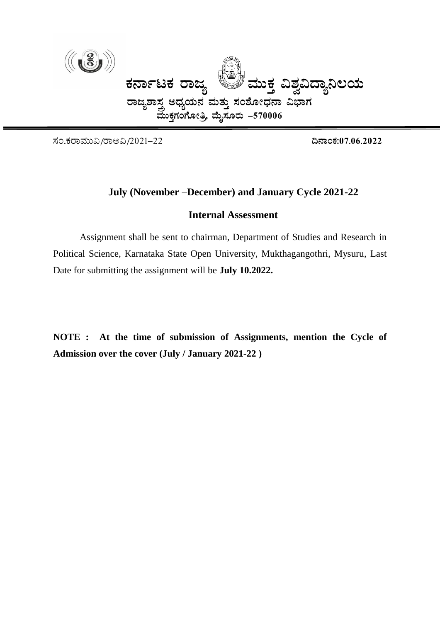

¸ÀA.PÀgÁªÀÄÄ«/gÁC«/2021-22 **¢£ÁAPÀ:07.06.2022**

# **July (November –December) and January Cycle 2021-22**

#### **Internal Assessment**

Assignment shall be sent to chairman, Department of Studies and Research in Political Science, Karnataka State Open University, Mukthagangothri, Mysuru, Last Date for submitting the assignment will be **July 10.2022.**

**NOTE : At the time of submission of Assignments, mention the Cycle of Admission over the cover (July / January 2021-22 )**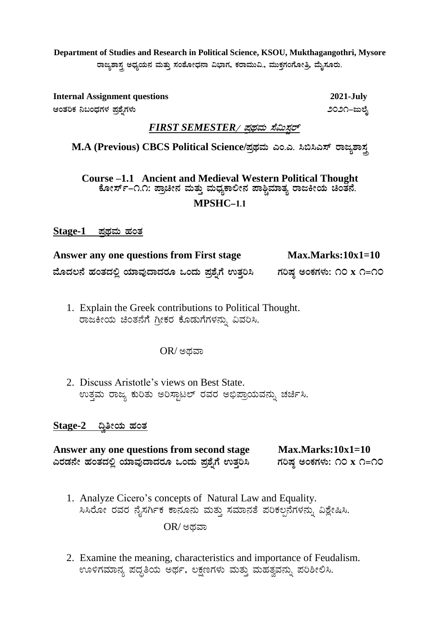**Department of Studies and Research in Political Science, KSOU, Mukthagangothri, Mysore** ರಾಜ್ಯಶಾಸ್ತ್ರ ಅಧ್ಯಯನ ಮತ್ತು ಸಂಶೋಧನಾ ವಿಭಾಗ, ಕರಾಮುವಿ., ಮುಕ್ತಗಂಗೋತ್ರಿ, ಮೈಸೂರು.

**Internal Assignment questions 2021-July DAvÀjPÀ ¤§AzsÀUÀ¼À ¥Àæ±ÉßUÀ¼ÀÄ 2021-dįÉÊ**

### $FIRST$  SEMESTER / ಪ್ರಥಮ ಸೆಮಿಸ್ಟರ್

 $M.A$  (Previous) CBCS Political Science/ಪ್ರಥಮ ಎಂ.ಎ. ಸಿಬಿಸಿಎಸ್ ರಾಜ್ಯಶಾಸ್ತ್ರ

**Course –1.1 Ancient and Medieval Western Political Thought PÉÆÃ¸ïð-1.1: ¥ÁæaãÀ ªÀÄvÀÄÛ ªÀÄzsÀåPÁ°Ã£À ¥Á²ÑªÀiÁvÀå gÁdQÃAiÀÄ aAvÀ£É. MPSHC-1.1**

<u>Stage-1 ಪ್ರಥಮ ಹಂತ</u>

Answer any one questions from First stage Max.Marks:10x1=10  $\frac{1}{2}$ ಹೊದಲನೆ ಹಂತದಲ್ಲಿ ಯಾವುದಾದರೂ ಒಂದು ಪ್ರಶ್ನೆಗೆ ಉತ್ತರಿಸಿ ಗರಿಷ್ಠ ಅಂಕಗಳು: ೧೦ x ೧=೧೦

1. Explain the Greek contributions to Political Thought. ರಾಜಕೀಯ ಚಿಂತನೆಗೆ ಗ್ರೀಕರ ಕೊಡುಗೆಗಳನ್ನು ವಿವರಿಸಿ.

#### $OR/$ ಅಥವಾ

2. Discuss Aristotle's views on Best State. ಉತ್ತಮ ರಾಜ್ಯ ಕುರಿತು ಅರಿಸ್ಟಾಟಲ್ ರವರ ಅಭಿಪ್ರಾಯವನ್ನು ಚರ್ಚಿಸಿ.

#### $Stage-2$  **al**ect ಹಂತ

**Answer any one questions from second stage Max.Marks:10x1=10 JgÀqÀ£Éà ºÀAvÀzÀ°è AiÀiÁªÀÅzÁzÀgÀÆ MAzÀÄ ¥Àæ±ÉßUÉ GvÀÛj¹ UÀjµÀ× CAPÀUÀ¼ÀÄ: 10 x 1=10**

- 1. Analyze Cicero's concepts of Natural Law and Equality. ಸಿಸಿರೋ ರವರ ನೈಸರ್ಗಿಕ ಕಾನೂನು ಮತ್ತು ಸಮಾನತೆ ಪರಿಕಲ್ಪನೆಗಳನ್ನು ವಿಶ್ಲೇಷಿಸಿ.  $OR$ / ಅಥವಾ
- 2. Examine the meaning, characteristics and importance of Feudalism. ಊಳಿಗಮಾನ್ಯ ಪದ್ಧತಿಯ ಅರ್ಥ, ಲಕ್ಷಣಗಳು ಮತ್ತು ಮಹತ್ವವನ್ನು ಪರಿಶೀಲಿಸಿ.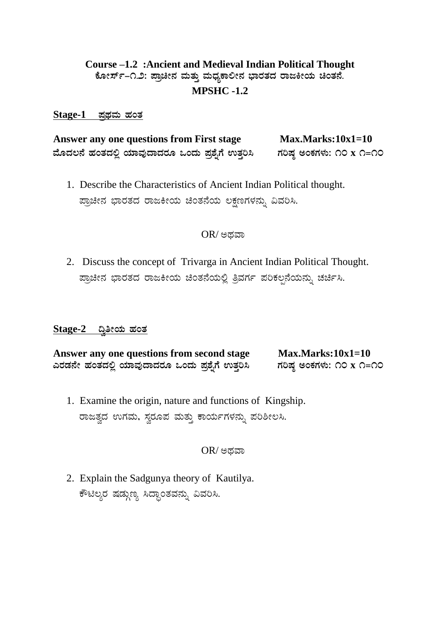# **Course –1.2 :Ancient and Medieval Indian Political Thought PÉÆÃ¸ïð-1.2: ¥ÁæaãÀ ªÀÄvÀÄÛ ªÀÄzsÀåPÁ°Ã£À ¨sÁgÀvÀzÀ gÁdQÃAiÀÄ aAvÀ£É. MPSHC -1.2**

#### **Stage-1 ¥ÀæxÀªÀÄ ºÀAvÀ**

Answer any one questions from First stage Max.Marks:10x1=10  $\frac{1}{2}$ ಹೊದಲನೆ ಹಂತದಲ್ಲಿ ಯಾವುದಾದರೂ ಒಂದು ಪ್ರಶ್ನೆಗೆ ಉತ್ತರಿಸಿ ಗರಿಷ್ಠ ಅಂಕಗಳು: ೧೦ x ೧=೧೦

1. Describe the Characteristics of Ancient Indian Political thought. ಪ್ರಾಚೀನ ಭಾರತದ ರಾಜಕೀಯ ಚಿಂತನೆಯ ಲಕ್ಷಣಗಳನ್ನು ವಿವರಿಸಿ.

#### $OR/$ ಅಥವಾ

2. Discuss the concept of Trivarga in Ancient Indian Political Thought. ಪ್ರಾಚೀನ ಭಾರತದ ರಾಜಕೀಯ ಚಿಂತನೆಯಲ್ಲಿ ತ್ರಿವರ್ಗ ಪರಿಕಲ್ಪನೆಯನ್ನು ಚರ್ಚಿಸಿ.

#### <u>Stage-2 ದ್ರಿತೀಯ ಹಂತ</u>

**Answer any one questions from second stage Max.Marks:10x1=10**   $\Delta$ ವರಡನೇ ಹಂತದಲ್ಲಿ ಯಾವುದಾದರೂ ಒಂದು ಪ್ರಶ್ನೆಗೆ ಉತ್ತರಿಸಿ ಗರಿಷ್ಠ ಅಂಕಗಳು: ೧೦ x ೧=೧೦

1. Examine the origin, nature and functions of Kingship. ರಾಜತ್ವದ ಉಗಮ, ಸ್ವರೂಪ ಮತ್ತು ಕಾರ್ಯಗಳನ್ನು ಪರಿಶೀಲಸಿ.

#### $OR$ / ಅಥವಾ

2. Explain the Sadgunya theory of Kautilya. ಕೌಟಿಲ್ಯರ ಷಡ್ಗುಣ್ಯ ಸಿದ್ದಾಂತವನ್ನು ವಿವರಿಸಿ.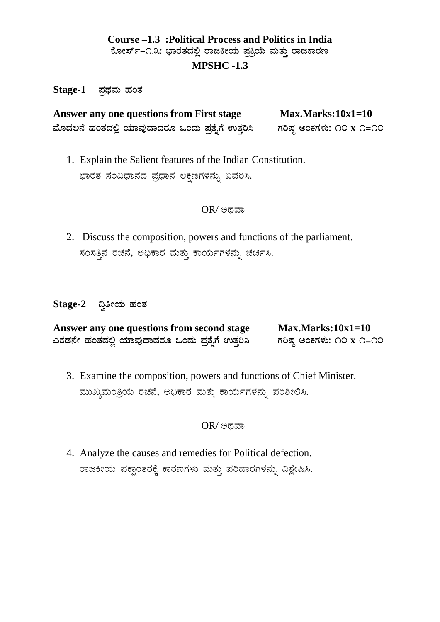# **Course –1.3 :Political Process and Politics in India**  ಕೋರ್ಸ್-೧.೩: ಭಾರತದಲ್ಲಿ ರಾಜಕೀಯ ಪ್ರಕ್ರಿಯೆ ಮತ್ತು ರಾಜಕಾರಣ **MPSHC -1.3**

#### <u>Stage-1 ಪಥಮ ಹಂತ</u>

Answer any one questions from First stage Max.Marks:10x1=10  $\frac{1}{2}$ ಹೊದಲನೆ ಹಂತದಲ್ಲಿ ಯಾವುದಾದರೂ ಒಂದು ಪ್ರಶ್ನೆಗೆ ಉತ್ತರಿಸಿ ಗರಿಷ್ಠ ಅಂಕಗಳು: ೧೦ x ೧=೧೦

1. Explain the Salient features of the Indian Constitution. ಭಾರತ ಸಂವಿಧಾನದ ಪ್ರಧಾನ ಲಕ್ಷಣಗಳನ್ನು ವಿವರಿಸಿ.

#### $OR$ / ಅಥವಾ

2. Discuss the composition, powers and functions of the parliament. ಸಂಸತ್ತಿನ ರಚನೆ, ಅಧಿಕಾರ ಮತ್ತು ಕಾರ್ಯಗಳನ್ನು ಚರ್ಚಿಸಿ.

#### <u>Stage-2 ದ್ವೀಯ ಹಂತ</u>

| Answer any one questions from second stage     | $Max. Marks:10x1=10$     |
|------------------------------------------------|--------------------------|
| ಎರಡನೇ ಹಂತದಲ್ಲಿ ಯಾವುದಾದರೂ ಒಂದು ಪ್ರಶೈಗೆ ಉತ್ತರಿಸಿ | ಗರಿಷ್ಠ ಅಂಕಗಳು: ೧೦ x ೧=೧೦ |

3. Examine the composition, powers and functions of Chief Minister. ಮುಖ್ಯಮಂತ್ರಿಯ ರಚನೆ, ಅಧಿಕಾರ ಮತ್ತು ಕಾರ್ಯಗಳನ್ನು ಪರಿಶೀಲಿಸಿ.

 $OR$ / ಅದವಾ

4. Analyze the causes and remedies for Political defection. ರಾಜಕೀಯ ಪಕ್ಷಾಂತರಕ್ಕೆ ಕಾರಣಗಳು ಮತ್ತು ಪರಿಹಾರಗಳನ್ನು ವಿಶ್ಲೇಷಿಸಿ.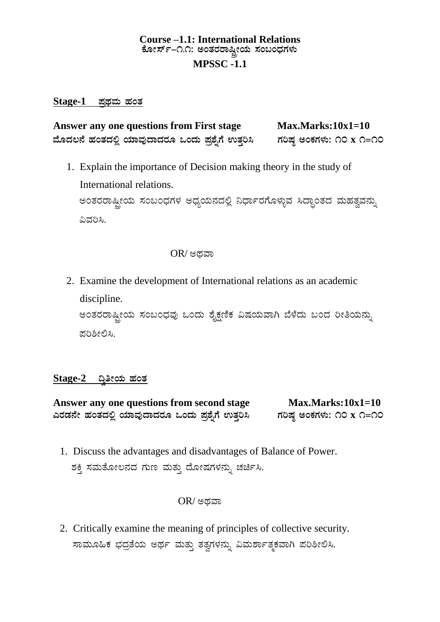# **Course –1.1: International Relations** ಕೋರ್ಸ್-೧.೧: ಅಂತರರಾಷ್ಟ್ರೀಯ ಸಂಬಂಧಗಳು **MPSSC -1.1**

### **Stage-1 ¥ÀæxÀªÀÄ ºÀAvÀ**

Answer any one questions from First stage Max.Marks:10x1=10  $\hat{\mathbf{a}}$ ಹೆದಲಿ ಮಾವುದಾದರೂ ಒಂದು ಪ್ರಶ್ನೆಗೆ ಉತ್ತರಿಸಿ ಗರಿಷ್ಠ ಅಂಕಗಳು: ೧೦ x ೧=೧೦

1. Explain the importance of Decision making theory in the study of International relations. ಅಂತರರಾಷ್ಟ್ರೀಯ ಸಂಬಂಧಗಳ ಅಧ್ಯಯನದಲ್ಲಿ ನಿರ್ಧಾರಗೊಳ್ಳುವ ಸಿದ್ಧಾಂತದ ಮಹತ್ವವನ್ನು ವಿವರಿಸಿ.

## $OR$ / ಅಥವಾ

2. Examine the development of International relations as an academic discipline. ಅಂತರರಾಷ್ಟ್ರೀಯ ಸಂಬಂಧವು ಒಂದು ಶೈಕ್ಷಣಿಕ ವಿಷಯವಾಗಿ ಬೆಳೆದು ಬಂದ ರೀತಿಯನ್ನು ಪರಿಶೀಲಿಸಿ.

# <u>Stage-2 ದ್ವಿತೀಯ ಹಂತ</u>

Answer any one questions from second stage Max.Marks:10x1=10  $\Delta$ ವರಡನೇ ಹಂತದಲ್ಲಿ ಯಾವುದಾದರೂ ಒಂದು ಪ್ರಶ್ನೆಗೆ ಉತ್ತರಿಸಿ ಗರಿಷ್ಠ ಅಂಕಗಳು: ೧೦ x ೧=೧೦

1. Discuss the advantages and disadvantages of Balance of Power. ಶಕ್ತಿ ಸಮತೋಲನದ ಗುಣ ಮತ್ತು ದೋಷಗಳನ್ನು ಚರ್ಚಿಸಿ.

#### OR/ ಅಥವಾ

2. Critically examine the meaning of principles of collective security. ಸಾಮೂಹಿಕ ಭದ್ರತೆಯ ಅರ್ಥ ಮತ್ತು ತತ್ವಗಳನ್ನು ವಿಮರ್ಶಾತ್ಮಕವಾಗಿ ಪರಿಶೀಲಿಸಿ.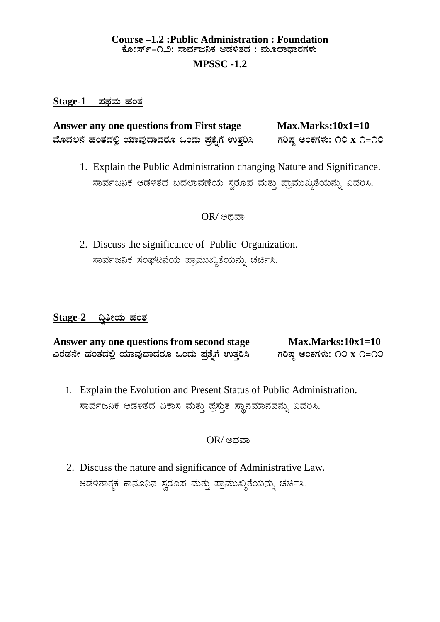# **Course –1.2 :Public Administration : Foundation** <u>ಕೋರ್ಸ್–೧.೨: ಸಾರ್ವಜನಿಕ ಆಡಳಿತದ : ಮೂಲಾದಾರಗಳು</u>

### **MPSSC -1.2**

#### $Stage-1$  ಪ್ರಥಮ ಹಂತ

Answer any one questions from First stage Max.Marks:10x1=10  $\hat{a}$ ಹೆಗಳಿವೆ ಹಂತದಲ್ಲಿ ಯಾವುದಾದರೂ ಒಂದು ಪ್ರಶ್ನೆಗೆ ಉತ್ತರಿಸಿ ಹರಿಷ್ಠ ಅಂಕಗಳು: ೧೦ x ೧=೧೦

1. Explain the Public Administration changing Nature and Significance. ಸಾರ್ವಜನಿಕ ಆಡಳಿತದ ಬದಲಾವಣೆಯ ಸ್ವರೂಪ ಮತ್ತು ಪ್ರಾಮುಖ್ಯತೆಯನ್ನು ವಿವರಿಸಿ.

## $OR$ / ಅದವಾ

2. Discuss the significance of Public Organization. ಸಾರ್ವಜನಿಕ ಸಂಘಟನೆಯ ಪ್ರಾಮುಖ್ಯತೆಯನ್ನು ಚರ್ಚ<mark>ಿ</mark>ಸಿ.

## <u>Stage-2 ದ್ವಿತೀಯ ಹಂತ</u>

| Answer any one questions from second stage     | $Max. Marks:10x1=10$     |
|------------------------------------------------|--------------------------|
| ಎರಡನೇ ಹಂತದಲ್ಲಿ ಯಾವುದಾದರೂ ಒಂದು ಪ್ರಶೈಗೆ ಉತ್ತರಿಸಿ | ಗರಿಷ್ಠ ಅಂಕಗಳು: ೧೦ x ೧=೧೦ |

1. Explain the Evolution and Present Status of Public Administration. ಸಾರ್ವಜನಿಕ ಆಡಳಿತದ ವಿಕಾಸ ಮತ್ತು ಪ್ರಸ್ತುತ ಸ್ಥಾನಮಾನವನ್ನು ವಿವರಿಸಿ.

# $OR$ / ಅಥವಾ

2. Discuss the nature and significance of Administrative Law. ಆಡಳಿತಾತ್ಮಕ ಕಾನೂನಿನ ಸ್ವರೂಪ ಮತ್ತು ಪ್ರಾಮುಖ್ಯತೆಯನ್ನು ಚರ್ಚಿಸಿ.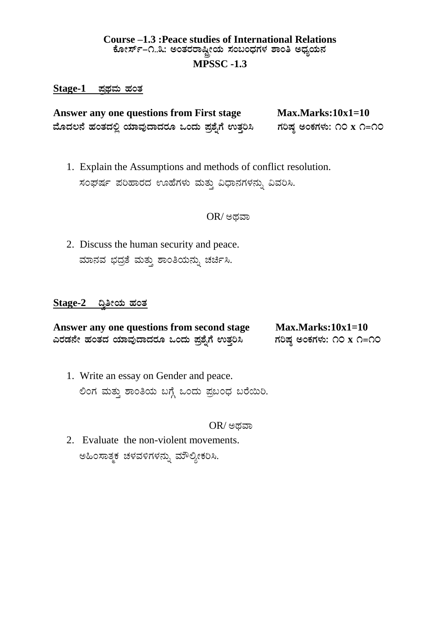# **Course –1.3 :Peace studies of International Relations** ಕೋರ್ಸ್-೧..೩: ಅಂತರರಾಷ್ಟ್ರೀಯ ಸಂಬಂಧಗಳ ಶಾಂತಿ ಅಧ್ಯಯನ **MPSSC -1.3**

#### $Stage-1$  ಪ್ರಥಮ ಹಂತ

Answer any one questions from First stage Max.Marks:10x1=10  $\hat{\mathbf{a}}$ ಹೆಸಿದಲ್ಲಿ ಯಾವುದಾದರೂ ಒಂದು ಪ್ರಶ್ನೆಗೆ ಉತ್ತರಿಸಿ ಗರಿಷ್ಠ ಅಂಕಗಳು: ೧೦ x ೧=೧೦

1. Explain the Assumptions and methods of conflict resolution. ಸಂಘರ್ಷ ಪರಿಹಾರದ ಊಹೆಗಳು ಮತ್ತು ವಿಧಾನಗಳನ್ನು ವಿವರಿಸಿ.

#### $OR$ / ಅಥವಾ

2. Discuss the human security and peace. ಮಾನವ ಭದ್ರತೆ ಮತ್ತು ಶಾಂತಿಯನ್ನು ಚರ್ಚಿಸಿ.

#### <u>Stage-2 ದ್ರಿತೀಯ ಹಂತ</u>

| Answer any one questions from second stage | $Max. Marks:10x1=10$     |
|--------------------------------------------|--------------------------|
| ಎರಡನೇ ಹಂತದ ಯಾವುದಾದರೂ ಒಂದು ಪ್ರಶೈಗೆ ಉತ್ತರಿಸಿ | ಗರಿಷ್ಠ ಅಂಕಗಳು: ೧೦ x ೧=೧೦ |

1. Write an essay on Gender and peace. ಲಿಂಗ ಮತ್ತು ಶಾಂತಿಯ ಬಗ್ಗೆ ಒಂದು ಪ್ರಬಂಧ ಬರೆಯಿರಿ.

#### $OR$ / ಅಥವಾ

2. Evaluate the non-violent movements. ಅಹಿಂಸಾತ್ಮಕ ಚಳವಳಿಗಳನ್ನು ಮೌಲ್ಯೀಕರಿಸಿ.